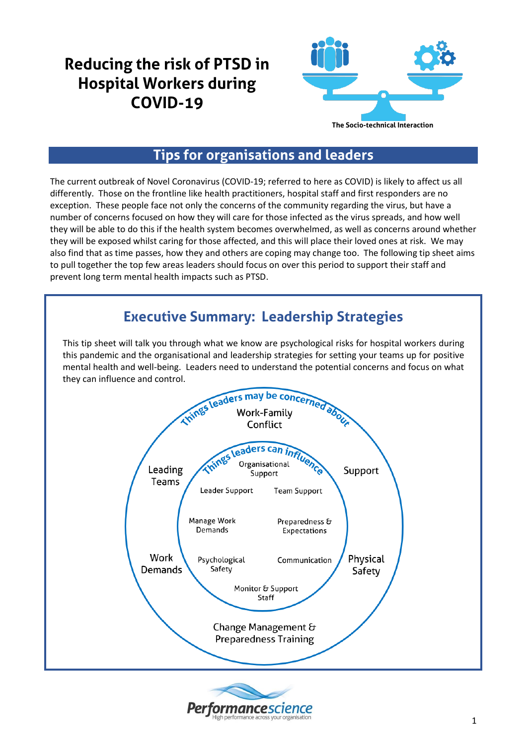# **Reducing the risk of PTSD in Hospital Workers during COVID-19**



## **Tips for organisations and leaders**

The current outbreak of Novel Coronavirus (COVID-19; referred to here as COVID) is likely to affect us all differently. Those on the frontline like health practitioners, hospital staff and first responders are no exception. These people face not only the concerns of the community regarding the virus, but have a number of concerns focused on how they will care for those infected as the virus spreads, and how well they will be able to do this if the health system becomes overwhelmed, as well as concerns around whether they will be exposed whilst caring for those affected, and this will place their loved ones at risk. We may also find that as time passes, how they and others are coping may change too. The following tip sheet aims to pull together the top few areas leaders should focus on over this period to support their staff and prevent long term mental health impacts such as PTSD.

## **Executive Summary: Leadership Strategies**

This tip sheet will talk you through what we know are psychological risks for hospital workers during this pandemic and the organisational and leadership strategies for setting your teams up for positive mental health and well-being. Leaders need to understand the potential concerns and focus on what they can influence and control.



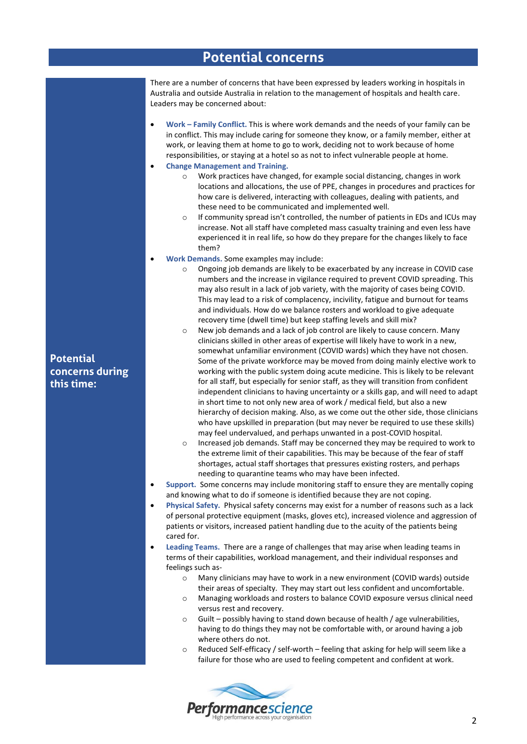### **Potential concerns**

There are a number of concerns that have been expressed by leaders working in hospitals in Australia and outside Australia in relation to the management of hospitals and health care. Leaders may be concerned about:

- **Work – Family Conflict.** This is where work demands and the needs of your family can be in conflict. This may include caring for someone they know, or a family member, either at work, or leaving them at home to go to work, deciding not to work because of home responsibilities, or staying at a hotel so as not to infect vulnerable people at home.
- **Change Management and Training.**
	- $\circ$  Work practices have changed, for example social distancing, changes in work locations and allocations, the use of PPE, changes in procedures and practices for how care is delivered, interacting with colleagues, dealing with patients, and these need to be communicated and implemented well.
	- If community spread isn't controlled, the number of patients in EDs and ICUs may increase. Not all staff have completed mass casualty training and even less have experienced it in real life, so how do they prepare for the changes likely to face them?
- **Work Demands.** Some examples may include:
	- o Ongoing job demands are likely to be exacerbated by any increase in COVID case numbers and the increase in vigilance required to prevent COVID spreading. This may also result in a lack of job variety, with the majority of cases being COVID. This may lead to a risk of complacency, incivility, fatigue and burnout for teams and individuals. How do we balance rosters and workload to give adequate recovery time (dwell time) but keep staffing levels and skill mix?
	- o New job demands and a lack of job control are likely to cause concern. Many clinicians skilled in other areas of expertise will likely have to work in a new, somewhat unfamiliar environment (COVID wards) which they have not chosen. Some of the private workforce may be moved from doing mainly elective work to working with the public system doing acute medicine. This is likely to be relevant for all staff, but especially for senior staff, as they will transition from confident independent clinicians to having uncertainty or a skills gap, and will need to adapt in short time to not only new area of work / medical field, but also a new hierarchy of decision making. Also, as we come out the other side, those clinicians who have upskilled in preparation (but may never be required to use these skills) may feel undervalued, and perhaps unwanted in a post-COVID hospital.
	- Increased job demands. Staff may be concerned they may be required to work to the extreme limit of their capabilities. This may be because of the fear of staff shortages, actual staff shortages that pressures existing rosters, and perhaps needing to quarantine teams who may have been infected.
- **Support.** Some concerns may include monitoring staff to ensure they are mentally coping and knowing what to do if someone is identified because they are not coping.
- **Physical Safety.** Physical safety concerns may exist for a number of reasons such as a lack of personal protective equipment (masks, gloves etc), increased violence and aggression of patients or visitors, increased patient handling due to the acuity of the patients being cared for.

• **Leading Teams.** There are a range of challenges that may arise when leading teams in terms of their capabilities, workload management, and their individual responses and feelings such as-

- o Many clinicians may have to work in a new environment (COVID wards) outside their areas of specialty. They may start out less confident and uncomfortable.
- o Managing workloads and rosters to balance COVID exposure versus clinical need versus rest and recovery.
- o Guilt possibly having to stand down because of health / age vulnerabilities, having to do things they may not be comfortable with, or around having a job where others do not.
- Reduced Self-efficacy / self-worth feeling that asking for help will seem like a failure for those who are used to feeling competent and confident at work.



**Potential concerns during this time:**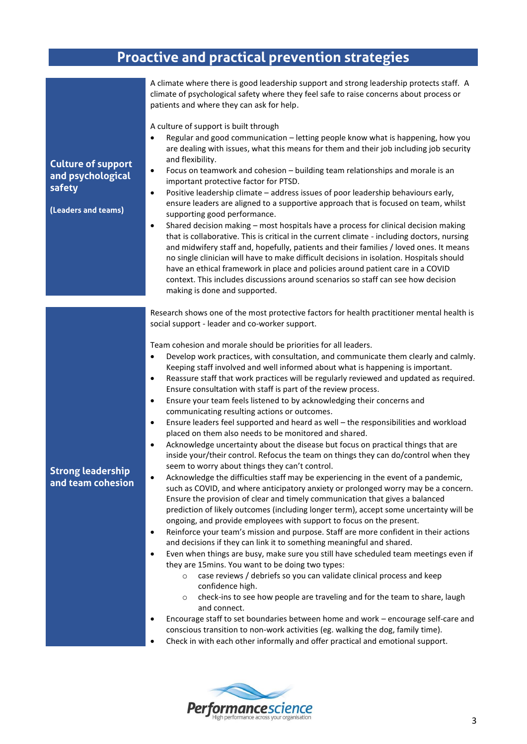# **Proactive and practical prevention strategies**

| <b>Culture of support</b><br>and psychological<br>safety<br>(Leaders and teams) | A climate where there is good leadership support and strong leadership protects staff. A<br>climate of psychological safety where they feel safe to raise concerns about process or<br>patients and where they can ask for help.<br>A culture of support is built through<br>Regular and good communication - letting people know what is happening, how you<br>$\bullet$<br>are dealing with issues, what this means for them and their job including job security<br>and flexibility.<br>Focus on teamwork and cohesion - building team relationships and morale is an<br>٠<br>important protective factor for PTSD.<br>Positive leadership climate - address issues of poor leadership behaviours early,<br>٠<br>ensure leaders are aligned to a supportive approach that is focused on team, whilst<br>supporting good performance.<br>Shared decision making - most hospitals have a process for clinical decision making<br>$\bullet$<br>that is collaborative. This is critical in the current climate - including doctors, nursing<br>and midwifery staff and, hopefully, patients and their families / loved ones. It means<br>no single clinician will have to make difficult decisions in isolation. Hospitals should<br>have an ethical framework in place and policies around patient care in a COVID<br>context. This includes discussions around scenarios so staff can see how decision<br>making is done and supported.                                                                                                                                                                                                                                                                                                                                                                                                                                                                                                                                                                                                                                                                                                                                                                                                                                                                                                                                                 |
|---------------------------------------------------------------------------------|------------------------------------------------------------------------------------------------------------------------------------------------------------------------------------------------------------------------------------------------------------------------------------------------------------------------------------------------------------------------------------------------------------------------------------------------------------------------------------------------------------------------------------------------------------------------------------------------------------------------------------------------------------------------------------------------------------------------------------------------------------------------------------------------------------------------------------------------------------------------------------------------------------------------------------------------------------------------------------------------------------------------------------------------------------------------------------------------------------------------------------------------------------------------------------------------------------------------------------------------------------------------------------------------------------------------------------------------------------------------------------------------------------------------------------------------------------------------------------------------------------------------------------------------------------------------------------------------------------------------------------------------------------------------------------------------------------------------------------------------------------------------------------------------------------------------------------------------------------------------------------------------------------------------------------------------------------------------------------------------------------------------------------------------------------------------------------------------------------------------------------------------------------------------------------------------------------------------------------------------------------------------------------------------------------------------------------------------------------------------------------------|
|                                                                                 |                                                                                                                                                                                                                                                                                                                                                                                                                                                                                                                                                                                                                                                                                                                                                                                                                                                                                                                                                                                                                                                                                                                                                                                                                                                                                                                                                                                                                                                                                                                                                                                                                                                                                                                                                                                                                                                                                                                                                                                                                                                                                                                                                                                                                                                                                                                                                                                          |
| <b>Strong leadership</b><br>and team cohesion                                   | Research shows one of the most protective factors for health practitioner mental health is<br>social support - leader and co-worker support.<br>Team cohesion and morale should be priorities for all leaders.<br>Develop work practices, with consultation, and communicate them clearly and calmly.<br>$\bullet$<br>Keeping staff involved and well informed about what is happening is important.<br>Reassure staff that work practices will be regularly reviewed and updated as required.<br>$\bullet$<br>Ensure consultation with staff is part of the review process.<br>Ensure your team feels listened to by acknowledging their concerns and<br>$\bullet$<br>communicating resulting actions or outcomes.<br>Ensure leaders feel supported and heard as well - the responsibilities and workload<br>$\bullet$<br>placed on them also needs to be monitored and shared.<br>Acknowledge uncertainty about the disease but focus on practical things that are<br>$\bullet$<br>inside your/their control. Refocus the team on things they can do/control when they<br>seem to worry about things they can't control.<br>Acknowledge the difficulties staff may be experiencing in the event of a pandemic,<br>٠<br>such as COVID, and where anticipatory anxiety or prolonged worry may be a concern.<br>Ensure the provision of clear and timely communication that gives a balanced<br>prediction of likely outcomes (including longer term), accept some uncertainty will be<br>ongoing, and provide employees with support to focus on the present.<br>Reinforce your team's mission and purpose. Staff are more confident in their actions<br>$\bullet$<br>and decisions if they can link it to something meaningful and shared.<br>Even when things are busy, make sure you still have scheduled team meetings even if<br>$\bullet$<br>they are 15mins. You want to be doing two types:<br>case reviews / debriefs so you can validate clinical process and keep<br>$\circ$<br>confidence high.<br>check-ins to see how people are traveling and for the team to share, laugh<br>$\circ$<br>and connect.<br>Encourage staff to set boundaries between home and work - encourage self-care and<br>٠<br>conscious transition to non-work activities (eg. walking the dog, family time).<br>Check in with each other informally and offer practical and emotional support.<br>٠ |

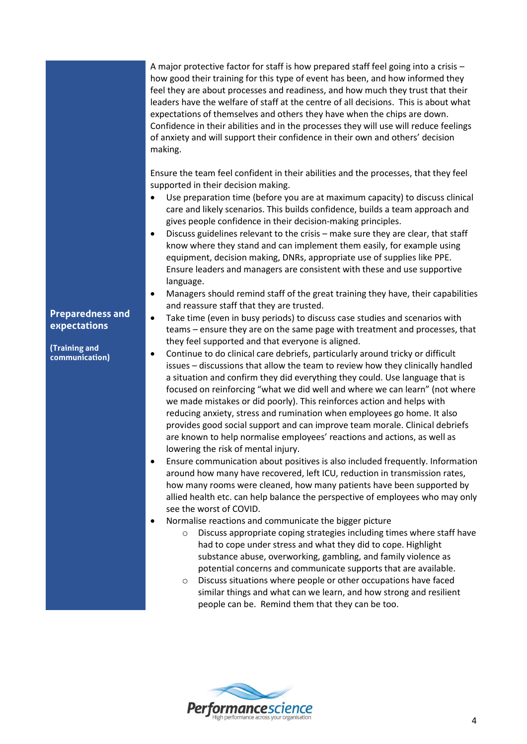A major protective factor for staff is how prepared staff feel going into a crisis – how good their training for this type of event has been, and how informed they feel they are about processes and readiness, and how much they trust that their leaders have the welfare of staff at the centre of all decisions. This is about what expectations of themselves and others they have when the chips are down. Confidence in their abilities and in the processes they will use will reduce feelings of anxiety and will support their confidence in their own and others' decision making.

Ensure the team feel confident in their abilities and the processes, that they feel supported in their decision making.

- Use preparation time (before you are at maximum capacity) to discuss clinical care and likely scenarios. This builds confidence, builds a team approach and gives people confidence in their decision-making principles.
- Discuss guidelines relevant to the crisis make sure they are clear, that staff know where they stand and can implement them easily, for example using equipment, decision making, DNRs, appropriate use of supplies like PPE. Ensure leaders and managers are consistent with these and use supportive language.
- Managers should remind staff of the great training they have, their capabilities and reassure staff that they are trusted.
- Take time (even in busy periods) to discuss case studies and scenarios with teams – ensure they are on the same page with treatment and processes, that they feel supported and that everyone is aligned.
- Continue to do clinical care debriefs, particularly around tricky or difficult issues – discussions that allow the team to review how they clinically handled a situation and confirm they did everything they could. Use language that is focused on reinforcing "what we did well and where we can learn" (not where we made mistakes or did poorly). This reinforces action and helps with reducing anxiety, stress and rumination when employees go home. It also provides good social support and can improve team morale. Clinical debriefs are known to help normalise employees' reactions and actions, as well as lowering the risk of mental injury.
- Ensure communication about positives is also included frequently. Information around how many have recovered, left ICU, reduction in transmission rates, how many rooms were cleaned, how many patients have been supported by allied health etc. can help balance the perspective of employees who may only see the worst of COVID.
- Normalise reactions and communicate the bigger picture
	- o Discuss appropriate coping strategies including times where staff have had to cope under stress and what they did to cope. Highlight substance abuse, overworking, gambling, and family violence as potential concerns and communicate supports that are available.
	- o Discuss situations where people or other occupations have faced similar things and what can we learn, and how strong and resilient people can be. Remind them that they can be too.



#### **Preparedness and expectations**

**(Training and communication)**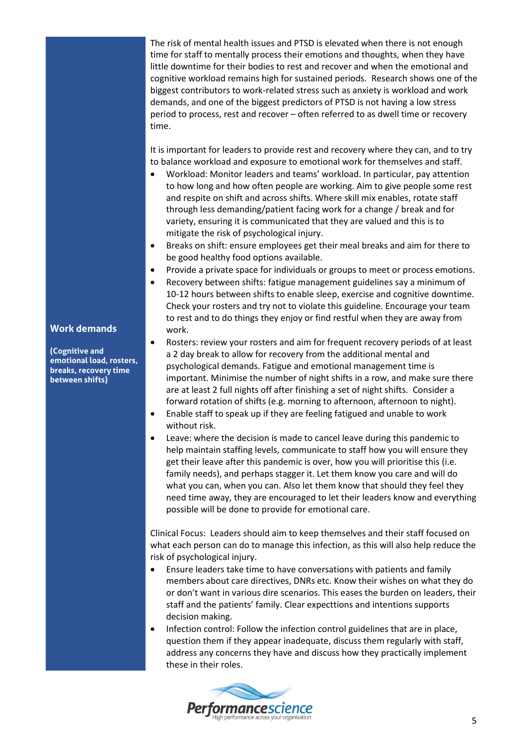The risk of mental health issues and PTSD is elevated when there is not enough time for staff to mentally process their emotions and thoughts, when they have little downtime for their bodies to rest and recover and when the emotional and cognitive workload remains high for sustained periods. Research shows one of the biggest contributors to work-related stress such as anxiety is workload and work demands, and one of the biggest predictors of PTSD is not having a low stress period to process, rest and recover – often referred to as dwell time or recovery time.

It is important for leaders to provide rest and recovery where they can, and to try to balance workload and exposure to emotional work for themselves and staff.

- Workload: Monitor leaders and teams' workload. In particular, pay attention to how long and how often people are working. Aim to give people some rest and respite on shift and across shifts. Where skill mix enables, rotate staff through less demanding/patient facing work for a change / break and for variety, ensuring it is communicated that they are valued and this is to mitigate the risk of psychological injury.
- Breaks on shift: ensure employees get their meal breaks and aim for there to be good healthy food options available.
- Provide a private space for individuals or groups to meet or process emotions.
- Recovery between shifts: fatigue management guidelines say a minimum of 10-12 hours between shifts to enable sleep, exercise and cognitive downtime. Check your rosters and try not to violate this guideline. Encourage your team to rest and to do things they enjoy or find restful when they are away from work.
- Rosters: review your rosters and aim for frequent recovery periods of at least a 2 day break to allow for recovery from the additional mental and psychological demands. Fatigue and emotional management time is important. Minimise the number of night shifts in a row, and make sure there are at least 2 full nights off after finishing a set of night shifts. Consider a forward rotation of shifts (e.g. morning to afternoon, afternoon to night).
- Enable staff to speak up if they are feeling fatigued and unable to work without risk.
- Leave: where the decision is made to cancel leave during this pandemic to help maintain staffing levels, communicate to staff how you will ensure they get their leave after this pandemic is over, how you will prioritise this (i.e. family needs), and perhaps stagger it. Let them know you care and will do what you can, when you can. Also let them know that should they feel they need time away, they are encouraged to let their leaders know and everything possible will be done to provide for emotional care.

Clinical Focus: Leaders should aim to keep themselves and their staff focused on what each person can do to manage this infection, as this will also help reduce the risk of psychological injury.

- Ensure leaders take time to have conversations with patients and family members about care directives, DNRs etc. Know their wishes on what they do or don't want in various dire scenarios. This eases the burden on leaders, their staff and the patients' family. Clear expecttions and intentions supports decision making.
- Infection control: Follow the infection control guidelines that are in place, question them if they appear inadequate, discuss them regularly with staff, address any concerns they have and discuss how they practically implement these in their roles.



#### **Work demands**

**(Cognitive and emotional load, rosters, breaks, recovery time between shifts)**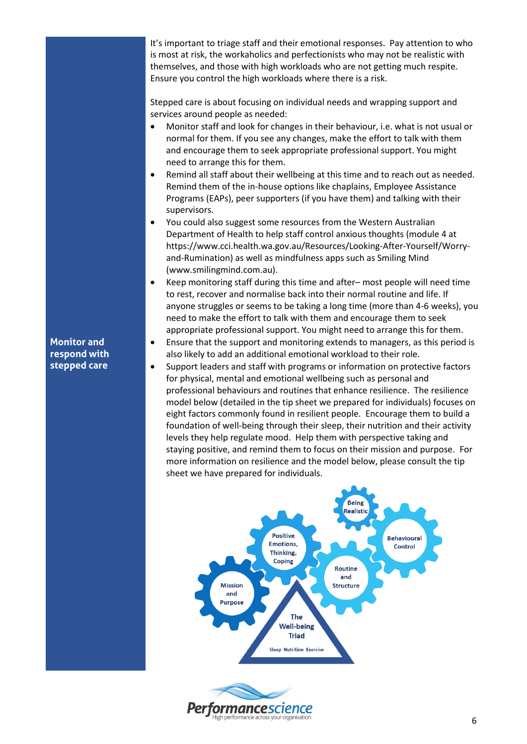It's important to triage staff and their emotional responses. Pay attention to who is most at risk, the workaholics and perfectionists who may not be realistic with themselves, and those with high workloads who are not getting much respite. Ensure you control the high workloads where there is a risk.

Stepped care is about focusing on individual needs and wrapping support and services around people as needed:

- Monitor staff and look for changes in their behaviour, i.e. what is not usual or normal for them. If you see any changes, make the effort to talk with them and encourage them to seek appropriate professional support. You might need to arrange this for them.
- Remind all staff about their wellbeing at this time and to reach out as needed. Remind them of the in-house options like chaplains, Employee Assistance Programs (EAPs), peer supporters (if you have them) and talking with their supervisors.
- You could also suggest some resources from the Western Australian Department of Health to help staff control anxious thoughts (module 4 at https://www.cci.health.wa.gov.au/Resources/Looking-After-Yourself/Worryand-Rumination) as well as mindfulness apps such as Smiling Mind (www.smilingmind.com.au).
- Keep monitoring staff during this time and after– most people will need time to rest, recover and normalise back into their normal routine and life. If anyone struggles or seems to be taking a long time (more than 4-6 weeks), you need to make the effort to talk with them and encourage them to seek appropriate professional support. You might need to arrange this for them.
- Ensure that the support and monitoring extends to managers, as this period is also likely to add an additional emotional workload to their role.
- Support leaders and staff with programs or information on protective factors for physical, mental and emotional wellbeing such as personal and professional behaviours and routines that enhance resilience. The resilience model below (detailed in the tip sheet we prepared for individuals) focuses on eight factors commonly found in resilient people. Encourage them to build a foundation of well-being through their sleep, their nutrition and their activity levels they help regulate mood. Help them with perspective taking and staying positive, and remind them to focus on their mission and purpose. For more information on resilience and the model below, please consult the tip sheet we have prepared for individuals.





### **Monitor and respond with stepped care**